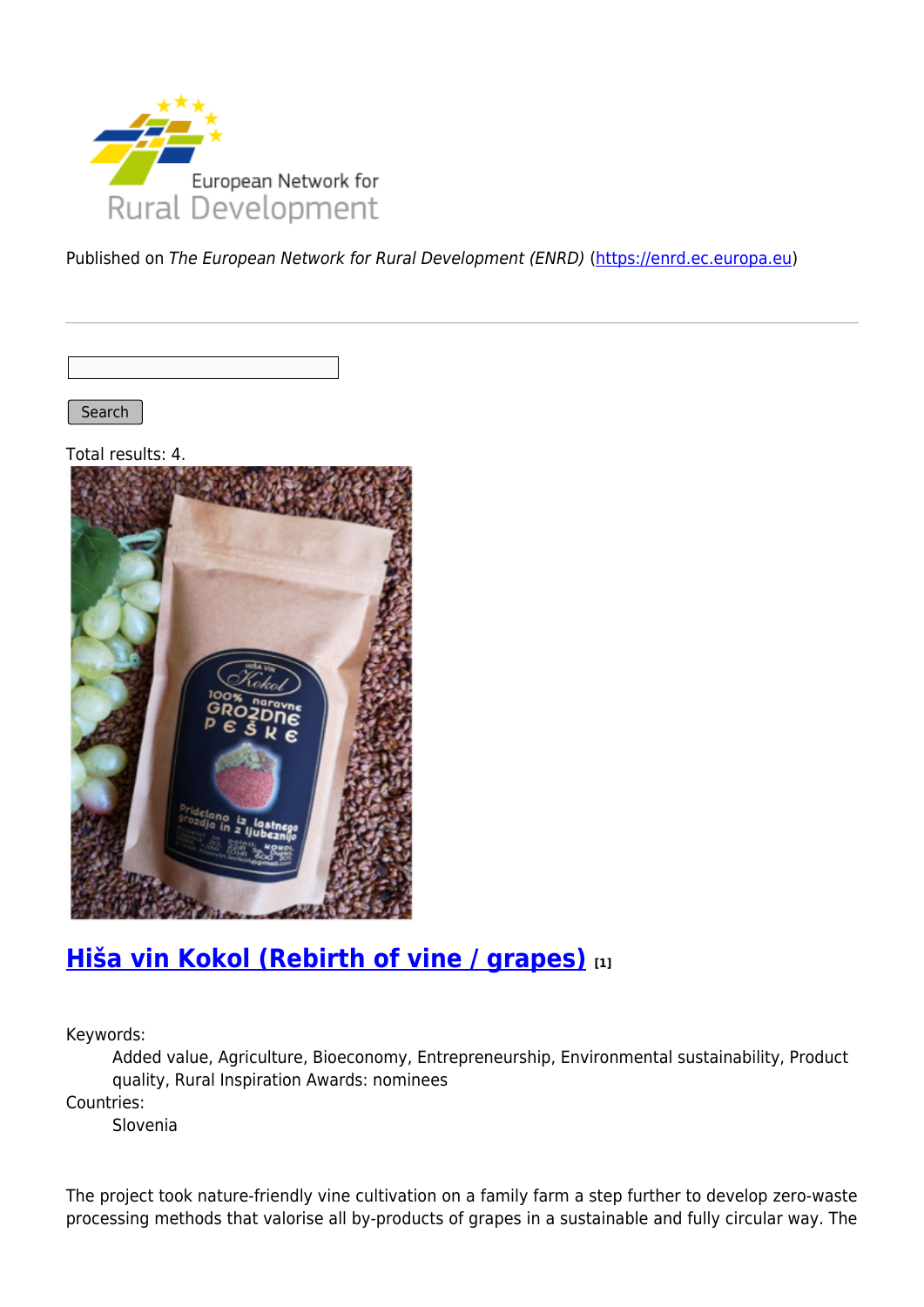

Published on The European Network for Rural Development (ENRD) [\(https://enrd.ec.europa.eu](https://enrd.ec.europa.eu))

Search

Total results: 4.



## **[Hiša vin Kokol \(Rebirth of vine / grapes\)](https://enrd.ec.europa.eu/projects-practice/hisa-vin-kokol-rebirth-vine-grapes_en) [1]**

Keywords:

Added value, Agriculture, Bioeconomy, Entrepreneurship, Environmental sustainability, Product quality, Rural Inspiration Awards: nominees

Countries:

Slovenia

The project took nature-friendly vine cultivation on a family farm a step further to develop zero-waste processing methods that valorise all by-products of grapes in a sustainable and fully circular way. The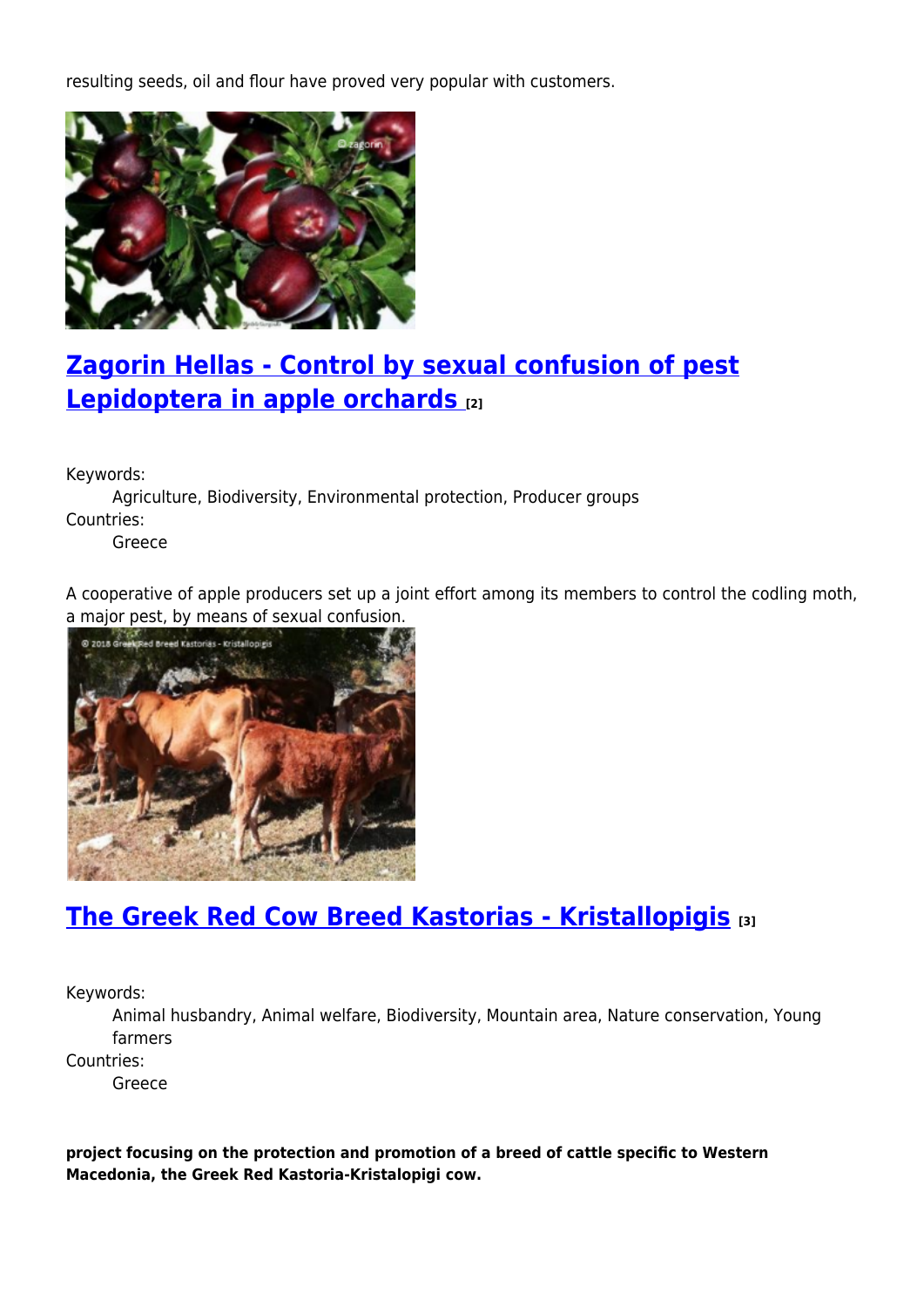resulting seeds, oil and flour have proved very popular with customers.



## **[Zagorin Hellas - Control by sexual confusion of pest](https://enrd.ec.europa.eu/projects-practice/zagorin-hellas-control-sexual-confusion-pest-lepidoptera-apple-orchards_en) [Lepidoptera in apple orchards](https://enrd.ec.europa.eu/projects-practice/zagorin-hellas-control-sexual-confusion-pest-lepidoptera-apple-orchards_en) [2]**

Keywords:

Agriculture, Biodiversity, Environmental protection, Producer groups Countries:

Greece

A cooperative of apple producers set up a joint effort among its members to control the codling moth, a major pest, by means of sexual confusion.



## **[The Greek Red Cow Breed Kastorias - Kristallopigis](https://enrd.ec.europa.eu/projects-practice/greek-red-cow-breed-kastorias-kristallopigis_en) [3]**

Keywords:

Animal husbandry, Animal welfare, Biodiversity, Mountain area, Nature conservation, Young farmers

Countries:

Greece

**project focusing on the protection and promotion of a breed of cattle specific to Western Macedonia, the Greek Red Kastoria-Kristalopigi cow.**